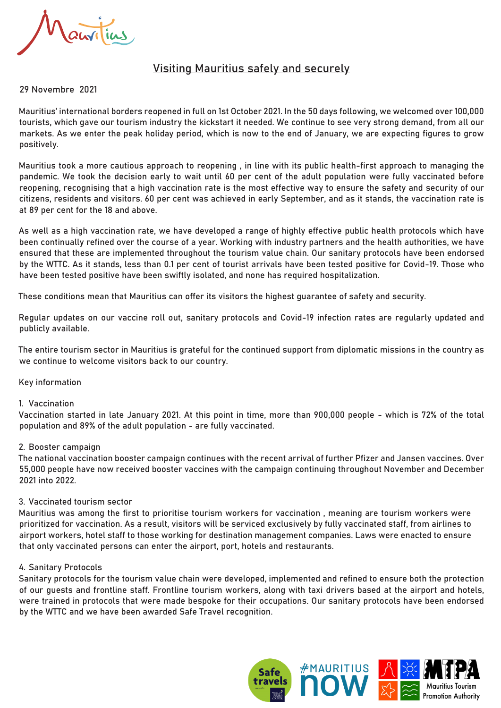auvilias

# Visiting Mauritius safely and securely

## 29 Novembre 2021

Mauritius' international borders reopened in full on 1st October 2021. In the 50 days following, we welcomed over 100,000 tourists, which gave our tourism industry the kickstart it needed. We continue to see very strong demand, from all our markets. As we enter the peak holiday period, which is now to the end of January, we are expecting figures to grow positively.

Mauritius took a more cautious approach to reopening , in line with its public health-first approach to managing the pandemic. We took the decision early to wait until 60 per cent of the adult population were fully vaccinated before reopening, recognising that a high vaccination rate is the most effective way to ensure the safety and security of our citizens, residents and visitors. 60 per cent was achieved in early September, and as it stands, the vaccination rate is at 89 per cent for the 18 and above.

As well as a high vaccination rate, we have developed a range of highly effective public health protocols which have been continually refined over the course of a year. Working with industry partners and the health authorities, we have ensured that these are implemented throughout the tourism value chain. Our sanitary protocols have been endorsed by the WTTC. As it stands, less than 0.1 per cent of tourist arrivals have been tested positive for Covid-19. Those who have been tested positive have been swiftly isolated, and none has required hospitalization.

These conditions mean that Mauritius can offer its visitors the highest guarantee of safety and security.

Regular updates on our vaccine roll out, sanitary protocols and Covid-19 infection rates are regularly updated and publicly available.

The entire tourism sector in Mauritius is grateful for the continued support from diplomatic missions in the country as we continue to welcome visitors back to our country.

## Key information

## 1. Vaccination

Vaccination started in late January 2021. At this point in time, more than 900,000 people - which is 72% of the total population and 89% of the adult population - are fully vaccinated.

## 2. Booster campaign

The national vaccination booster campaign continues with the recent arrival of further Pfizer and Jansen vaccines. Over 55,000 people have now received booster vaccines with the campaign continuing throughout November and December 2021 into 2022.

## 3. Vaccinated tourism sector

Mauritius was among the first to prioritise tourism workers for vaccination , meaning are tourism workers were prioritized for vaccination. As a result, visitors will be serviced exclusively by fully vaccinated staff, from airlines to airport workers, hotel staff to those working for destination management companies. Laws were enacted to ensure that only vaccinated persons can enter the airport, port, hotels and restaurants.

## 4. Sanitary Protocols

Sanitary protocols for the tourism value chain were developed, implemented and refined to ensure both the protection of our guests and frontline staff. Frontline tourism workers, along with taxi drivers based at the airport and hotels, were trained in protocols that were made bespoke for their occupations. Our sanitary protocols have been endorsed by the WTTC and we have been awarded Safe Travel recognition.